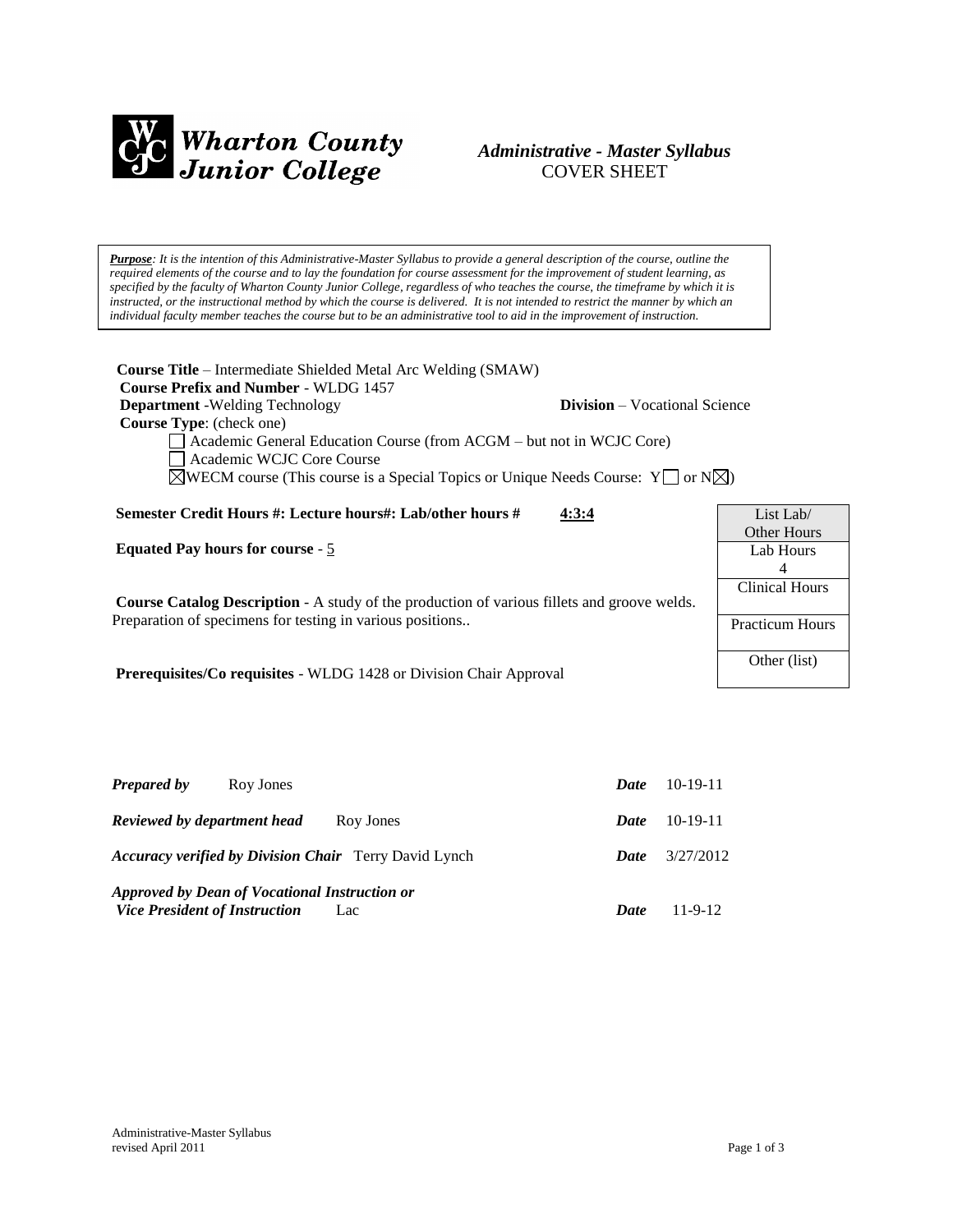

# *Administrative - Master Syllabus*  COVER SHEET

*Purpose: It is the intention of this Administrative-Master Syllabus to provide a general description of the course, outline the required elements of the course and to lay the foundation for course assessment for the improvement of student learning, as specified by the faculty of Wharton County Junior College, regardless of who teaches the course, the timeframe by which it is instructed, or the instructional method by which the course is delivered. It is not intended to restrict the manner by which an individual faculty member teaches the course but to be an administrative tool to aid in the improvement of instruction.*

| <b>Course Title</b> – Intermediate Shielded Metal Arc Welding (SMAW)<br><b>Course Prefix and Number - WLDG 1457</b><br><b>Department</b> - Welding Technology<br>Course Type: (check one)<br>Academic General Education Course (from ACGM – but not in WCJC Core)<br>Academic WCJC Core Course<br>$\triangle$ WECM course (This course is a Special Topics or Unique Needs Course: Y or N $\triangle$ ) | <b>Division</b> – Vocational Science |                                 |
|---------------------------------------------------------------------------------------------------------------------------------------------------------------------------------------------------------------------------------------------------------------------------------------------------------------------------------------------------------------------------------------------------------|--------------------------------------|---------------------------------|
| Semester Credit Hours #: Lecture hours#: Lab/other hours #                                                                                                                                                                                                                                                                                                                                              | 4:3:4                                | List Lab                        |
| <b>Equated Pay hours for course - 5</b>                                                                                                                                                                                                                                                                                                                                                                 |                                      | <b>Other Hours</b><br>Lab Hours |
|                                                                                                                                                                                                                                                                                                                                                                                                         |                                      | 4                               |
| <b>Course Catalog Description - A study of the production of various fillets and groove welds.</b>                                                                                                                                                                                                                                                                                                      |                                      | <b>Clinical Hours</b>           |
| Preparation of specimens for testing in various positions                                                                                                                                                                                                                                                                                                                                               |                                      | <b>Practicum Hours</b>          |
| <b>Prerequisites/Co requisites - WLDG</b> 1428 or Division Chair Approval                                                                                                                                                                                                                                                                                                                               |                                      | Other (list)                    |
|                                                                                                                                                                                                                                                                                                                                                                                                         |                                      |                                 |

| <b>Prepared by</b><br>Roy Jones                                                              | Date        | 10-19-11  |
|----------------------------------------------------------------------------------------------|-------------|-----------|
| Reviewed by department head<br>Roy Jones                                                     | Date        | 10-19-11  |
| <b>Accuracy verified by Division Chair</b> Terry David Lynch                                 | Date        | 3/27/2012 |
| Approved by Dean of Vocational Instruction or<br><b>Vice President of Instruction</b><br>Lac | <b>Date</b> | 11-9-12   |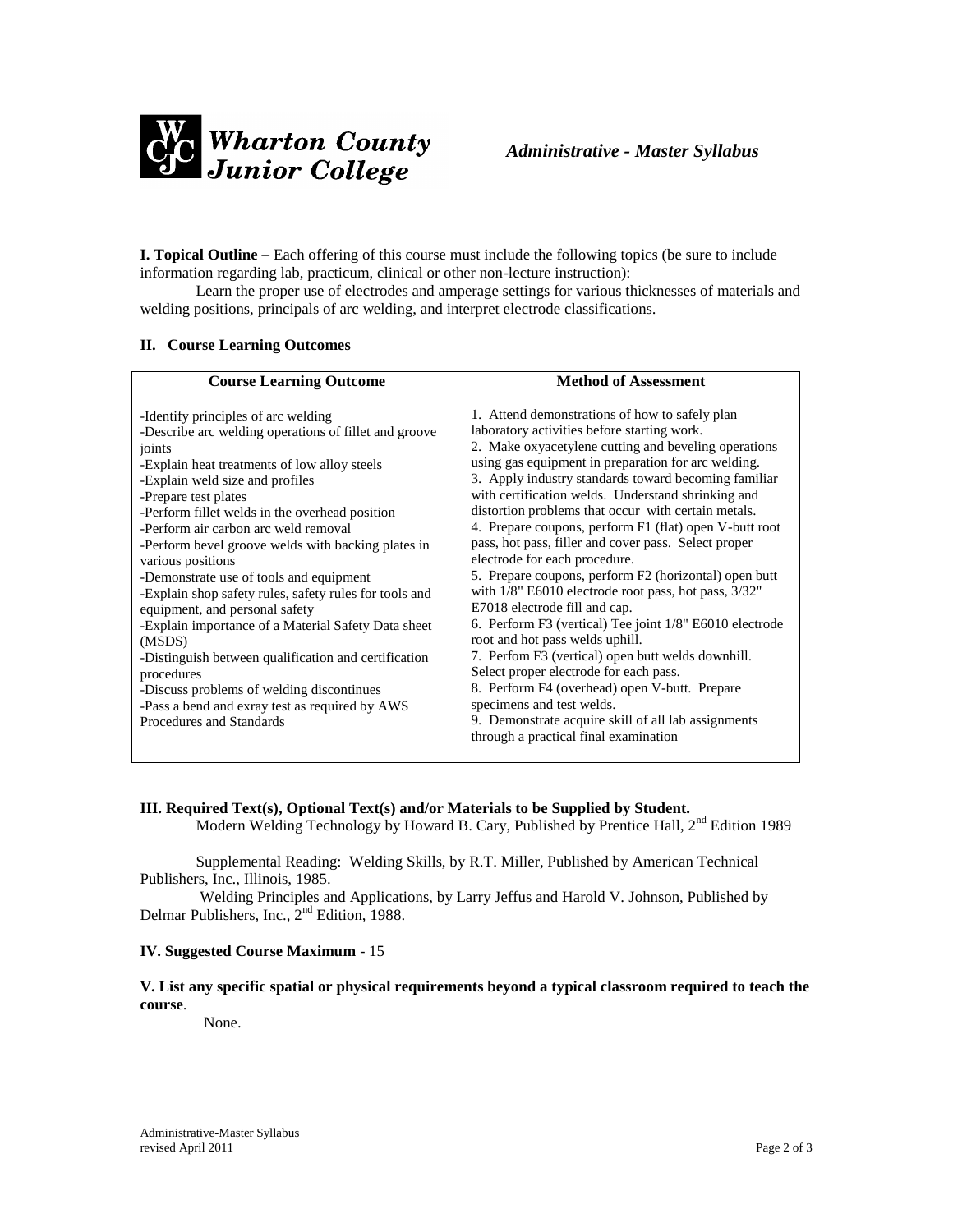

**I. Topical Outline** – Each offering of this course must include the following topics (be sure to include information regarding lab, practicum, clinical or other non-lecture instruction):

Learn the proper use of electrodes and amperage settings for various thicknesses of materials and welding positions, principals of arc welding, and interpret electrode classifications.

# **II. Course Learning Outcomes**

| <b>Course Learning Outcome</b>                                                                                                                                                                                                                                                                                                                                                                                                                                                                                                                                                                                                                                                                                                                                                                  | <b>Method of Assessment</b>                                                                                                                                                                                                                                                                                                                                                                                                                                                                                                                                                                                                                                                                                                                                                                                                                                                                                                                                                                                                                                       |
|-------------------------------------------------------------------------------------------------------------------------------------------------------------------------------------------------------------------------------------------------------------------------------------------------------------------------------------------------------------------------------------------------------------------------------------------------------------------------------------------------------------------------------------------------------------------------------------------------------------------------------------------------------------------------------------------------------------------------------------------------------------------------------------------------|-------------------------------------------------------------------------------------------------------------------------------------------------------------------------------------------------------------------------------------------------------------------------------------------------------------------------------------------------------------------------------------------------------------------------------------------------------------------------------------------------------------------------------------------------------------------------------------------------------------------------------------------------------------------------------------------------------------------------------------------------------------------------------------------------------------------------------------------------------------------------------------------------------------------------------------------------------------------------------------------------------------------------------------------------------------------|
| -Identify principles of arc welding<br>-Describe arc welding operations of fillet and groove<br>joints<br>-Explain heat treatments of low alloy steels<br>-Explain weld size and profiles<br>-Prepare test plates<br>-Perform fillet welds in the overhead position<br>-Perform air carbon arc weld removal<br>-Perform bevel groove welds with backing plates in<br>various positions<br>-Demonstrate use of tools and equipment<br>-Explain shop safety rules, safety rules for tools and<br>equipment, and personal safety<br>-Explain importance of a Material Safety Data sheet<br>(MSDS)<br>-Distinguish between qualification and certification<br>procedures<br>-Discuss problems of welding discontinues<br>-Pass a bend and exray test as required by AWS<br>Procedures and Standards | 1. Attend demonstrations of how to safely plan<br>laboratory activities before starting work.<br>2. Make oxyacetylene cutting and beveling operations<br>using gas equipment in preparation for arc welding.<br>3. Apply industry standards toward becoming familiar<br>with certification welds. Understand shrinking and<br>distortion problems that occur with certain metals.<br>4. Prepare coupons, perform F1 (flat) open V-butt root<br>pass, hot pass, filler and cover pass. Select proper<br>electrode for each procedure.<br>5. Prepare coupons, perform F2 (horizontal) open butt<br>with 1/8" E6010 electrode root pass, hot pass, 3/32"<br>E7018 electrode fill and cap.<br>6. Perform F3 (vertical) Tee joint 1/8" E6010 electrode<br>root and hot pass welds uphill.<br>7. Perfom F3 (vertical) open butt welds downhill.<br>Select proper electrode for each pass.<br>8. Perform F4 (overhead) open V-butt. Prepare<br>specimens and test welds.<br>9. Demonstrate acquire skill of all lab assignments<br>through a practical final examination |
|                                                                                                                                                                                                                                                                                                                                                                                                                                                                                                                                                                                                                                                                                                                                                                                                 |                                                                                                                                                                                                                                                                                                                                                                                                                                                                                                                                                                                                                                                                                                                                                                                                                                                                                                                                                                                                                                                                   |

# **III. Required Text(s), Optional Text(s) and/or Materials to be Supplied by Student.** Modern Welding Technology by Howard B. Cary, Published by Prentice Hall, 2<sup>nd</sup> Edition 1989

Supplemental Reading: Welding Skills, by R.T. Miller, Published by American Technical Publishers, Inc., Illinois, 1985.

Welding Principles and Applications, by Larry Jeffus and Harold V. Johnson, Published by Delmar Publishers, Inc., 2<sup>nd</sup> Edition, 1988.

#### **IV. Suggested Course Maximum** - 15

**V. List any specific spatial or physical requirements beyond a typical classroom required to teach the course**.

None.